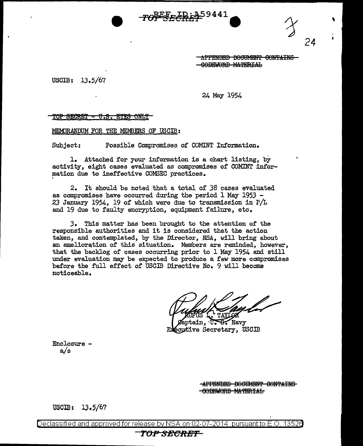

APPENDED DOOUMENT CONTAINS GODEWORD MATERIAL

\

*24* 

USGIB: 13.5/67

24 May 1954

 ${\tt TOP}$  SECRET - U.S. EYES ONLY

MEMlRANDUM FOR THE MEMBERS OF USCIB:

Subject: Possible Compromises of COMINT Information.

1. Attached for your information is a chart listing, by activity, eight cases evaluated as compromises of COMINT information due to ineffective COMSEC practices.

2. It should be noted that a total of 38 cases evaluated as compromises have occurred during the period 1 May 1953 -23 January 1954, 19 of which were due to transmission in P/L and 19 due to faulty encryption, equipment failure, etc.

*3.* This matter has been brought to the attention of the responsible authorities and it is considered that the action taken, and contemplated, by the Director, NSA, will bring about an amelioration of this situation. Members are reminded, however, that the backlog of cases occurring prior to 1 May 1954 and still under evaluation may be expected to produce a few more compromises be£ore the £ull effect of USCJB Directive No. 9 will become noticeable.

aptain.  $\overline{\mathbb{U}}$ . **B.** Navy écutive Secretary, USCIB

 $Enclosure - a/s$ 

APPENDED DOOUMENT CONTAINS **-GODEWORD MATERIAL** 

 $USCIB: 13.5/67$ 

Declassified and approved for release by NSA on 02-07-2014 pursuantto E.O. 1352a

## **TOPSECltBP**